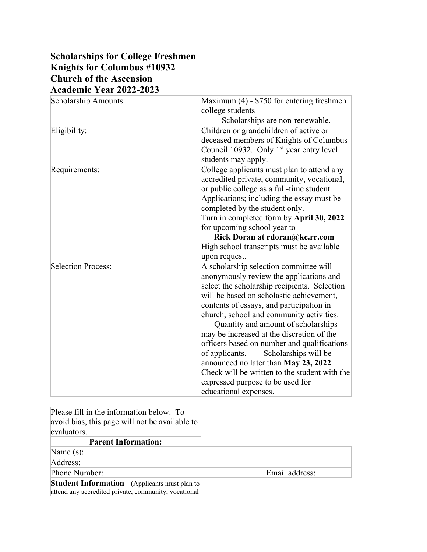## **Scholarships for College Freshmen Knights for Columbus #10932 Church of the Ascension Academic Year 2022-2023**

| Scholarship Amounts: | Maximum (4) - \$750 for entering freshmen<br>college students |
|----------------------|---------------------------------------------------------------|
|                      | Scholarships are non-renewable.                               |
| Eligibility:         | Children or grandchildren of active or                        |
|                      | deceased members of Knights of Columbus                       |
|                      | Council 10932. Only 1 <sup>st</sup> year entry level          |
|                      | students may apply.                                           |
| Requirements:        | College applicants must plan to attend any                    |
|                      | accredited private, community, vocational,                    |
|                      | or public college as a full-time student.                     |
|                      | Applications; including the essay must be                     |
|                      | completed by the student only.                                |
|                      | Turn in completed form by April 30, 2022                      |
|                      | for upcoming school year to                                   |
|                      | Rick Doran at rdoran@kc.rr.com                                |
|                      | High school transcripts must be available                     |
|                      | upon request.                                                 |
| Selection Process:   | A scholarship selection committee will                        |
|                      | anonymously review the applications and                       |
|                      | select the scholarship recipients. Selection                  |
|                      | will be based on scholastic achievement,                      |
|                      | contents of essays, and participation in                      |
|                      | church, school and community activities.                      |
|                      | Quantity and amount of scholarships                           |
|                      | may be increased at the discretion of the                     |
|                      | officers based on number and qualifications                   |
|                      | of applicants.<br>Scholarships will be                        |
|                      | announced no later than May 23, 2022.                         |
|                      | Check will be written to the student with the                 |
|                      | expressed purpose to be used for                              |
|                      | educational expenses.                                         |

| Please fill in the information below. To<br>avoid bias, this page will not be available to<br>evaluators.   |                |
|-------------------------------------------------------------------------------------------------------------|----------------|
| <b>Parent Information:</b>                                                                                  |                |
| Name $(s)$ :                                                                                                |                |
| Address:                                                                                                    |                |
| Phone Number:                                                                                               | Email address: |
| <b>Student Information</b> (Applicants must plan to<br>attend any accredited private, community, vocational |                |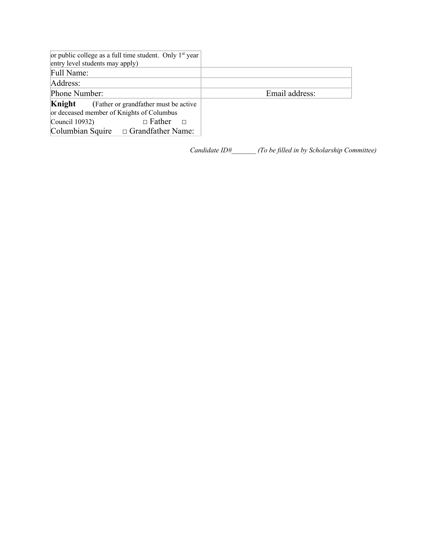| or public college as a full time student. Only $1st$ year<br>entry level students may apply)                                              |                |
|-------------------------------------------------------------------------------------------------------------------------------------------|----------------|
| Full Name:                                                                                                                                |                |
| Address:                                                                                                                                  |                |
| Phone Number:                                                                                                                             | Email address: |
| Knight<br>(Father or grandfather must be active<br>or deceased member of Knights of Columbus<br>$\Box$ Father<br>Council 10932)<br>$\Box$ |                |

*Candidate ID#\_\_\_\_\_\_\_ (To be filled in by Scholarship Committee)*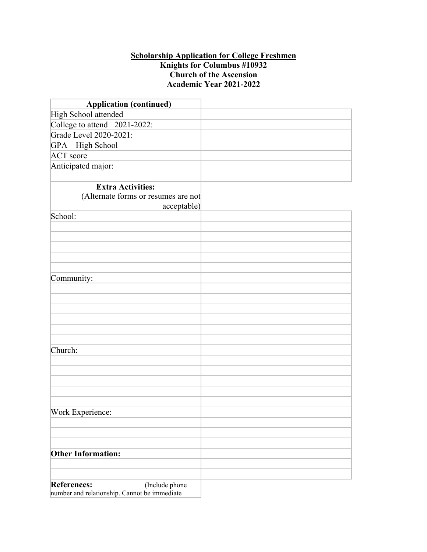## **Scholarship Application for College Freshmen Knights for Columbus #10932 Church of the Ascension Academic Year 2021-2022**

| <b>Application (continued)</b>                                                 |  |
|--------------------------------------------------------------------------------|--|
| High School attended                                                           |  |
| College to attend 2021-2022:                                                   |  |
| Grade Level 2020-2021:                                                         |  |
| GPA - High School                                                              |  |
| <b>ACT</b> score                                                               |  |
| Anticipated major:                                                             |  |
|                                                                                |  |
| <b>Extra Activities:</b><br>(Alternate forms or resumes are not<br>acceptable) |  |
| School:                                                                        |  |
|                                                                                |  |
|                                                                                |  |
|                                                                                |  |
|                                                                                |  |
|                                                                                |  |
| Community:                                                                     |  |
|                                                                                |  |
|                                                                                |  |
|                                                                                |  |
|                                                                                |  |
|                                                                                |  |
|                                                                                |  |
| Church:                                                                        |  |
|                                                                                |  |
|                                                                                |  |
|                                                                                |  |
|                                                                                |  |
|                                                                                |  |
| Work Experience:                                                               |  |
|                                                                                |  |
|                                                                                |  |
| <b>Other Information:</b>                                                      |  |
|                                                                                |  |
|                                                                                |  |
| <b>References:</b><br>(Include phone                                           |  |
| number and relationship. Cannot be immediate                                   |  |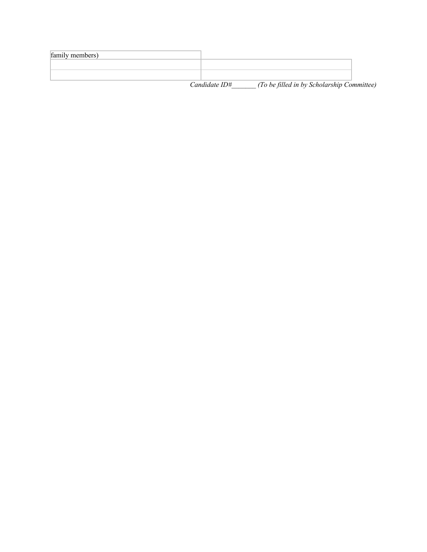| family members) |                  |                                            |  |
|-----------------|------------------|--------------------------------------------|--|
|                 |                  |                                            |  |
|                 |                  |                                            |  |
|                 | $C$ andidate ID# | (To be filled in by Scholarship Committee) |  |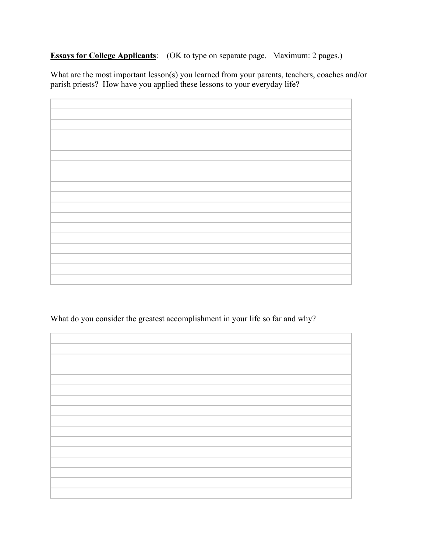**Essays for College Applicants**: (OK to type on separate page. Maximum: 2 pages.)

What are the most important lesson(s) you learned from your parents, teachers, coaches and/or parish priests? How have you applied these lessons to your everyday life?

What do you consider the greatest accomplishment in your life so far and why?

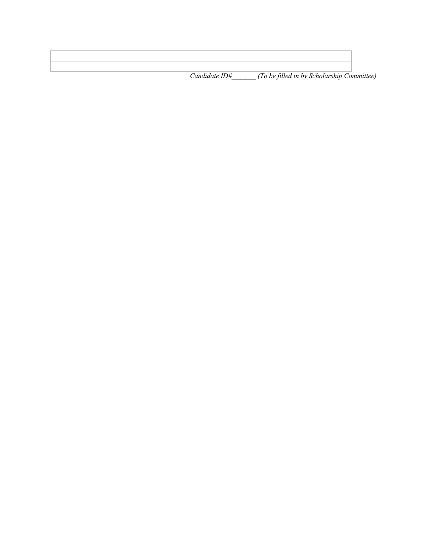*Candidate ID#\_\_\_\_\_\_\_ (To be filled in by Scholarship Committee)*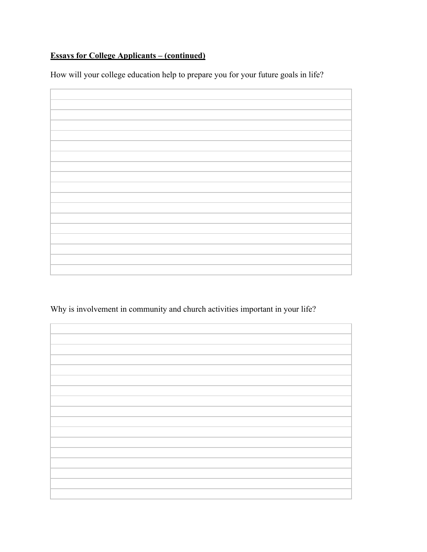## **Essays for College Applicants – (continued)**

How will your college education help to prepare you for your future goals in life?

Why is involvement in community and church activities important in your life?